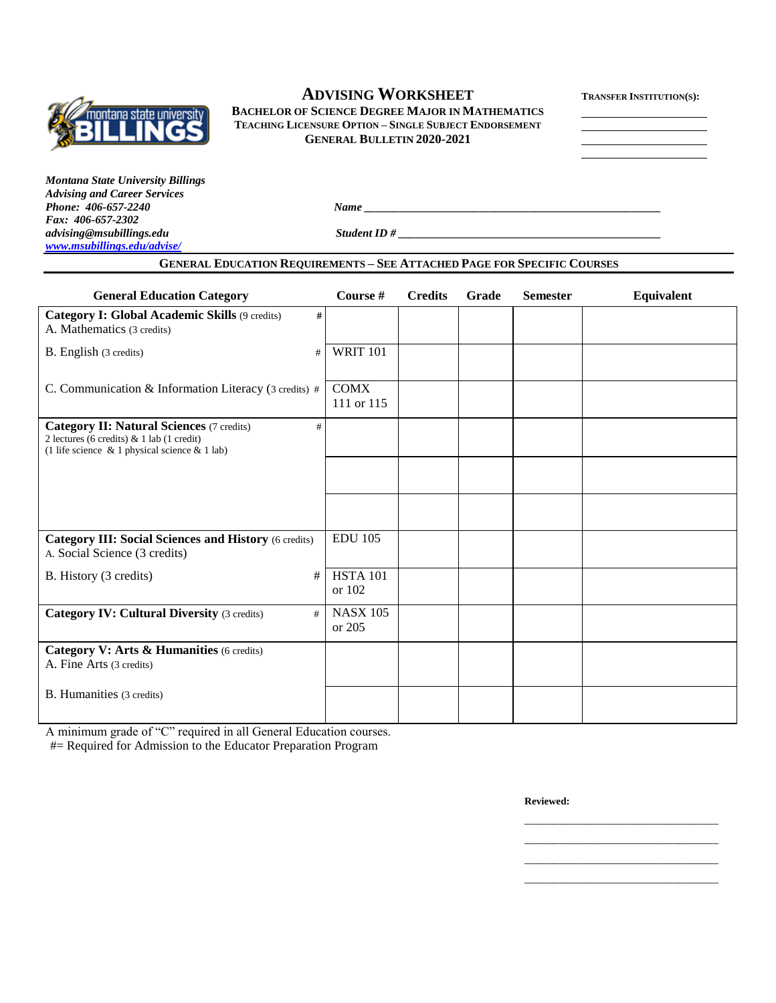

# $A$ **DVISING WORKSHEET**

**BACHELOR OF SCIENCE DEGREE MAJOR IN MATHEMATICS TEACHING LICENSURE OPTION – SINGLE SUBJECT ENDORSEMENT GENERAL BULLETIN 2020-2021**

*Montana State University Billings Advising and Career Services Phone: 406-657-2240 Name \_\_\_\_\_\_\_\_\_\_\_\_\_\_\_\_\_\_\_\_\_\_\_\_\_\_\_\_\_\_\_\_\_\_\_\_\_\_\_\_\_\_\_\_\_\_\_\_\_\_\_\_ Fax: 406-657-2302 [www.msubillings.edu/advise/](http://www.msubillings.edu/advise/)*

*advising@msubillings.edu Student ID # \_\_\_\_\_\_\_\_\_\_\_\_\_\_\_\_\_\_\_\_\_\_\_\_\_\_\_\_\_\_\_\_\_\_\_\_\_\_\_\_\_\_\_\_\_\_*

### **GENERAL EDUCATION REQUIREMENTS – SEE ATTACHED PAGE FOR SPECIFIC COURSES**

| <b>General Education Category</b>                                                                                                                           | Course #                  | <b>Credits</b> | Grade | <b>Semester</b> | Equivalent |
|-------------------------------------------------------------------------------------------------------------------------------------------------------------|---------------------------|----------------|-------|-----------------|------------|
| <b>Category I: Global Academic Skills (9 credits)</b><br>#<br>A. Mathematics (3 credits)                                                                    |                           |                |       |                 |            |
| B. English (3 credits)<br>#                                                                                                                                 | <b>WRIT 101</b>           |                |       |                 |            |
| C. Communication & Information Literacy (3 credits) #                                                                                                       | <b>COMX</b><br>111 or 115 |                |       |                 |            |
| <b>Category II: Natural Sciences (7 credits)</b><br>#<br>2 lectures (6 credits) $& 1$ lab (1 credit)<br>(1 life science $\&$ 1 physical science $\&$ 1 lab) |                           |                |       |                 |            |
|                                                                                                                                                             |                           |                |       |                 |            |
|                                                                                                                                                             |                           |                |       |                 |            |
| <b>Category III: Social Sciences and History (6 credits)</b><br>A. Social Science (3 credits)                                                               | <b>EDU 105</b>            |                |       |                 |            |
| B. History (3 credits)<br>#                                                                                                                                 | <b>HSTA 101</b><br>or 102 |                |       |                 |            |
| <b>Category IV: Cultural Diversity (3 credits)</b><br>#                                                                                                     | <b>NASX 105</b><br>or 205 |                |       |                 |            |
| Category V: Arts & Humanities (6 credits)<br>A. Fine Arts (3 credits)                                                                                       |                           |                |       |                 |            |
| B. Humanities (3 credits)                                                                                                                                   |                           |                |       |                 |            |

A minimum grade of "C" required in all General Education courses.

#= Required for Admission to the Educator Preparation Program

**Reviewed:**

\_\_\_\_\_\_\_\_\_\_\_\_\_\_\_\_\_\_\_\_\_\_\_\_\_\_\_\_\_\_\_\_\_\_ \_\_\_\_\_\_\_\_\_\_\_\_\_\_\_\_\_\_\_\_\_\_\_\_\_\_\_\_\_\_\_\_\_\_ \_\_\_\_\_\_\_\_\_\_\_\_\_\_\_\_\_\_\_\_\_\_\_\_\_\_\_\_\_\_\_\_\_\_ \_\_\_\_\_\_\_\_\_\_\_\_\_\_\_\_\_\_\_\_\_\_\_\_\_\_\_\_\_\_\_\_\_\_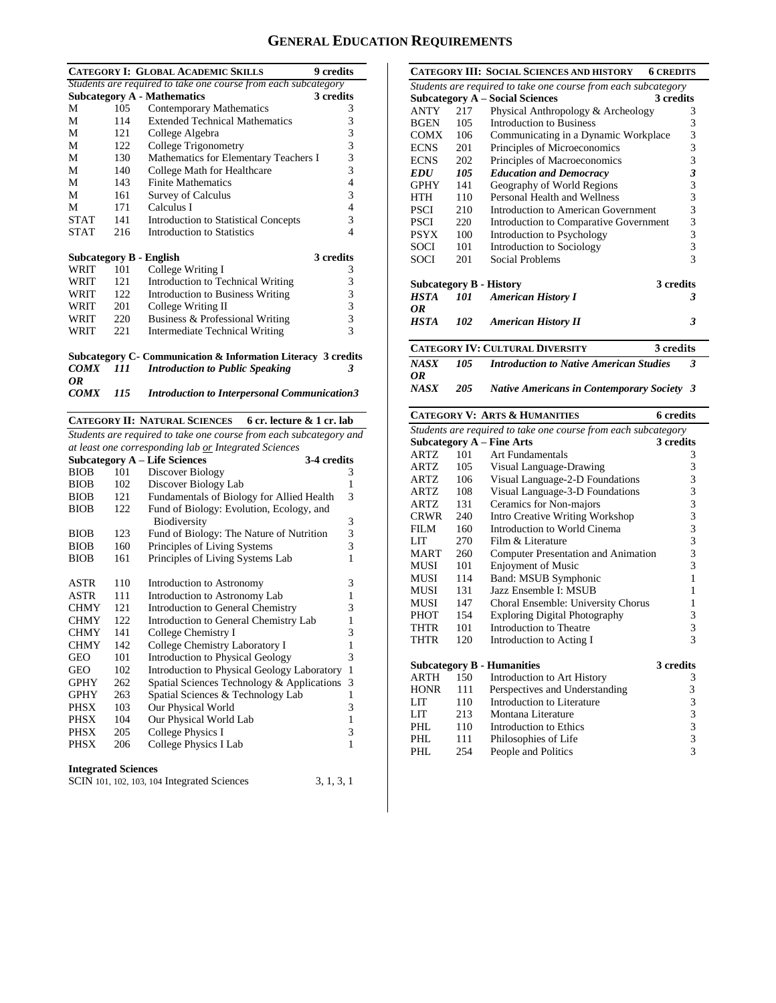## **GENERAL EDUCATION REQUIREMENTS**

|                                                                |     | <b>CATEGORY I: GLOBAL ACADEMIC SKILLS</b>           | 9 credits                |  |  |
|----------------------------------------------------------------|-----|-----------------------------------------------------|--------------------------|--|--|
| Students are required to take one course from each subcategory |     |                                                     |                          |  |  |
|                                                                |     | <b>Subcategory A - Mathematics</b>                  | 3 credits                |  |  |
| М                                                              | 105 | Contemporary Mathematics                            | 3                        |  |  |
| M                                                              | 114 | <b>Extended Technical Mathematics</b>               | 3                        |  |  |
| M                                                              | 121 | College Algebra                                     | 3                        |  |  |
| M                                                              | 122 | College Trigonometry                                | $\overline{\mathbf{3}}$  |  |  |
| М                                                              | 130 | Mathematics for Elementary Teachers I               | 3                        |  |  |
| M                                                              | 140 | College Math for Healthcare                         | 3                        |  |  |
| M                                                              | 143 | <b>Finite Mathematics</b>                           | $\overline{\mathcal{L}}$ |  |  |
| М                                                              | 161 | <b>Survey of Calculus</b>                           | 3                        |  |  |
| М                                                              | 171 | Calculus I                                          | 4                        |  |  |
| <b>STAT</b>                                                    | 141 | <b>Introduction to Statistical Concepts</b>         | 3                        |  |  |
| <b>STAT</b>                                                    | 216 | Introduction to Statistics                          | 4                        |  |  |
|                                                                |     | <b>Subcategory B - English</b>                      | 3 credits                |  |  |
| WRIT                                                           | 101 | College Writing I                                   | 3                        |  |  |
| WRIT                                                           | 121 | Introduction to Technical Writing                   | 3                        |  |  |
| WRIT                                                           | 122 | <b>Introduction to Business Writing</b>             | $\frac{3}{3}$            |  |  |
| WRIT                                                           | 201 | College Writing II                                  |                          |  |  |
| WRIT                                                           | 220 | Business & Professional Writing                     | $\overline{\mathbf{3}}$  |  |  |
| WRIT                                                           | 221 | Intermediate Technical Writing                      | 3                        |  |  |
| Subcategory C- Communication & Information Literacy 3 credits  |     |                                                     |                          |  |  |
| <i>COMX</i>                                                    | 111 | <b>Introduction to Public Speaking</b>              | 3                        |  |  |
| OR                                                             |     |                                                     |                          |  |  |
| <i>COMX</i>                                                    | 115 | <b>Introduction to Interpersonal Communication3</b> |                          |  |  |

**CATEGORY II: NATURAL SCIENCES 6 cr. lecture & 1 cr. lab**

*Students are required to take one course from each subcategory and at least one corresponding lab or Integrated Sciences*

|             |     | <b>Subcategory A – Life Sciences</b><br>3-4 credits |   |
|-------------|-----|-----------------------------------------------------|---|
| BIOB        | 101 | Discover Biology                                    | 3 |
| <b>BIOB</b> | 102 | Discover Biology Lab                                | 1 |
| <b>BIOB</b> | 121 | Fundamentals of Biology for Allied Health           | 3 |
| <b>BIOB</b> | 122 | Fund of Biology: Evolution, Ecology, and            |   |
|             |     | Biodiversity                                        | 3 |
| <b>BIOB</b> | 123 | Fund of Biology: The Nature of Nutrition            | 3 |
| <b>BIOB</b> | 160 | Principles of Living Systems                        | 3 |
| <b>BIOB</b> | 161 | Principles of Living Systems Lab                    | 1 |
|             |     |                                                     |   |
| ASTR        | 110 | Introduction to Astronomy                           | 3 |
| ASTR        | 111 | Introduction to Astronomy Lab                       | 1 |
| <b>CHMY</b> | 121 | Introduction to General Chemistry                   | 3 |
| <b>CHMY</b> | 122 | Introduction to General Chemistry Lab               | 1 |
| <b>CHMY</b> | 141 | College Chemistry I                                 | 3 |
| <b>CHMY</b> | 142 | College Chemistry Laboratory I                      | 1 |
| GEO         | 101 | <b>Introduction to Physical Geology</b>             | 3 |
| GEO         | 102 | Introduction to Physical Geology Laboratory         | 1 |
| <b>GPHY</b> | 262 | Spatial Sciences Technology & Applications          | 3 |
| <b>GPHY</b> | 263 | Spatial Sciences & Technology Lab                   | 1 |
| PHSX        | 103 | Our Physical World                                  | 3 |
| PHSX        | 104 | Our Physical World Lab                              | 1 |
| PHSX        | 205 | College Physics I                                   | 3 |
| PHSX        | 206 | College Physics I Lab                               | 1 |
|             |     |                                                     |   |

#### **Integrated Sciences**

| SCIN 101, 102, 103, 104 Integrated Sciences | 3, 1, 3, 1 |
|---------------------------------------------|------------|
|---------------------------------------------|------------|

|                   |     | <b>CATEGORY III: SOCIAL SCIENCES AND HISTORY</b><br><b>6 CREDITS</b> |   |
|-------------------|-----|----------------------------------------------------------------------|---|
|                   |     | Students are required to take one course from each subcategory       |   |
|                   |     | <b>Subcategory A – Social Sciences</b><br>3 credits                  |   |
| <b>ANTY</b>       | 217 | Physical Anthropology & Archeology                                   | 3 |
| <b>BGEN</b>       | 105 | Introduction to Business                                             | 3 |
| <b>COMX</b>       | 106 | Communicating in a Dynamic Workplace                                 | 3 |
| <b>ECNS</b>       | 201 | Principles of Microeconomics                                         | 3 |
| <b>ECNS</b>       | 202 | Principles of Macroeconomics                                         | 3 |
| <b>EDU</b>        | 105 | <b>Education and Democracy</b>                                       | 3 |
| <b>GPHY</b>       | 141 | Geography of World Regions                                           | 3 |
| <b>HTH</b>        | 110 | Personal Health and Wellness                                         | 3 |
| <b>PSCI</b>       | 210 | Introduction to American Government                                  | 3 |
| <b>PSCI</b>       | 220 | Introduction to Comparative Government                               | 3 |
| <b>PSYX</b>       | 100 | Introduction to Psychology                                           | 3 |
| <b>SOCI</b>       | 101 | Introduction to Sociology                                            | 3 |
| <b>SOCI</b>       | 201 | Social Problems                                                      | 3 |
|                   |     | 3 credits<br><b>Subcategory B - History</b>                          |   |
| <b>HSTA</b>       | 101 | <b>American History I</b>                                            | 3 |
| OR                |     |                                                                      |   |
| <b>HSTA</b>       | 102 | <b>American History II</b>                                           | 3 |
|                   |     | 3 credits<br><b>CATEGORY IV: CULTURAL DIVERSITY</b>                  |   |
| <b>NASX</b><br>0R | 105 | <b>Introduction to Native American Studies</b>                       | 3 |
| NASX              | 205 | <b>Native Americans in Contemporary Society 3</b>                    |   |
|                   |     | <b>CATEGORY V: ARTS &amp; HUMANITIES</b><br><b>6</b> credits         |   |
|                   |     | Students are required to take one course from each subcategory       |   |

| Students are required to take one course from each subcategory |     |                                            |                                                 |  |  |
|----------------------------------------------------------------|-----|--------------------------------------------|-------------------------------------------------|--|--|
|                                                                |     | Subcategory $A$ – Fine Arts                | 3 credits                                       |  |  |
| <b>ARTZ</b>                                                    | 101 | Art Fundamentals                           | 3                                               |  |  |
| ARTZ.                                                          | 105 | Visual Language-Drawing                    | 3                                               |  |  |
| ARTZ                                                           | 106 | Visual Language-2-D Foundations            |                                                 |  |  |
| ARTZ                                                           | 108 | Visual Language-3-D Foundations            | 33333333                                        |  |  |
| <b>ARTZ</b>                                                    | 131 | Ceramics for Non-majors                    |                                                 |  |  |
| <b>CRWR</b>                                                    | 240 | Intro Creative Writing Workshop            |                                                 |  |  |
| FILM                                                           | 160 | Introduction to World Cinema               |                                                 |  |  |
| <b>LIT</b>                                                     | 270 | Film & Literature                          |                                                 |  |  |
| <b>MART</b>                                                    | 260 | <b>Computer Presentation and Animation</b> |                                                 |  |  |
| <b>MUSI</b>                                                    | 101 | <b>Enjoyment of Music</b>                  |                                                 |  |  |
| <b>MUSI</b>                                                    | 114 | Band: MSUB Symphonic                       | $\mathbf{1}$                                    |  |  |
| MUSI                                                           | 131 | Jazz Ensemble I: MSUB                      | 1                                               |  |  |
| MUSI                                                           | 147 | Choral Ensemble: University Chorus         | $\mathbf{1}$                                    |  |  |
| PHOT                                                           | 154 | <b>Exploring Digital Photography</b>       | 3                                               |  |  |
| THTR                                                           | 101 | Introduction to Theatre                    | 3                                               |  |  |
| <b>THTR</b>                                                    | 120 | Introduction to Acting I                   | 3                                               |  |  |
|                                                                |     | <b>Subcategory B - Humanities</b>          | 3 credits                                       |  |  |
| <b>ARTH</b>                                                    | 150 | Introduction to Art History                | 3                                               |  |  |
| <b>HONR</b>                                                    | 111 | Perspectives and Understanding             |                                                 |  |  |
| <b>LIT</b>                                                     | 110 | Introduction to Literature                 |                                                 |  |  |
| LIT                                                            | 213 | Montana Literature                         |                                                 |  |  |
| PHI.                                                           | 110 | Introduction to Ethics                     | $\begin{array}{c}\n33 \\ 33 \\ 33\n\end{array}$ |  |  |
| PHL                                                            | 111 | Philosophies of Life                       |                                                 |  |  |
| PHL                                                            | 254 | People and Politics                        |                                                 |  |  |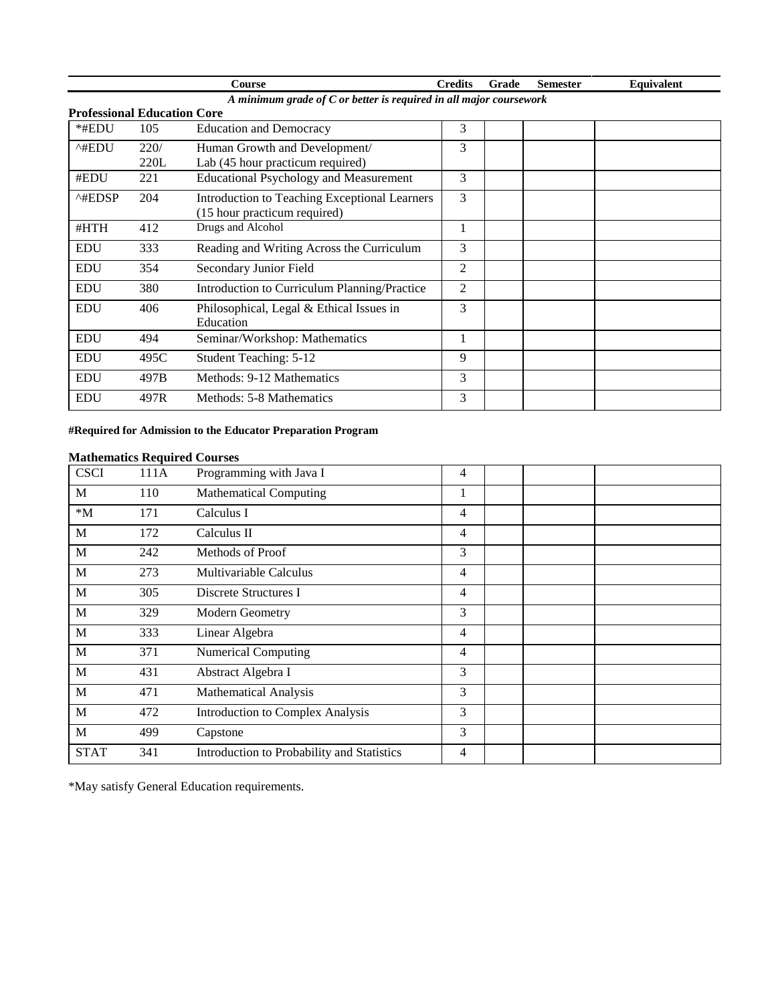|                                                                    |      | Course                                                                               | <b>Credits</b> | Grade | <b>Semester</b> | Equivalent |  |  |
|--------------------------------------------------------------------|------|--------------------------------------------------------------------------------------|----------------|-------|-----------------|------------|--|--|
| A minimum grade of C or better is required in all major coursework |      |                                                                                      |                |       |                 |            |  |  |
| <b>Professional Education Core</b>                                 |      |                                                                                      |                |       |                 |            |  |  |
| *#EDU                                                              | 105  | <b>Education and Democracy</b>                                                       | 3              |       |                 |            |  |  |
| ^#EDU                                                              | 220/ | Human Growth and Development/                                                        | 3              |       |                 |            |  |  |
|                                                                    | 220L | Lab (45 hour practicum required)                                                     |                |       |                 |            |  |  |
| #EDU                                                               | 221  | <b>Educational Psychology and Measurement</b>                                        | 3              |       |                 |            |  |  |
| $^{\wedge\text{HEDSP}}$                                            | 204  | <b>Introduction to Teaching Exceptional Learners</b><br>(15 hour practicum required) | 3              |       |                 |            |  |  |
| #HTH                                                               | 412  | Drugs and Alcohol                                                                    | 1              |       |                 |            |  |  |
| <b>EDU</b>                                                         | 333  | Reading and Writing Across the Curriculum                                            | 3              |       |                 |            |  |  |
| <b>EDU</b>                                                         | 354  | Secondary Junior Field                                                               | $\overline{2}$ |       |                 |            |  |  |
| <b>EDU</b>                                                         | 380  | Introduction to Curriculum Planning/Practice                                         | 2              |       |                 |            |  |  |
| <b>EDU</b>                                                         | 406  | Philosophical, Legal & Ethical Issues in<br>Education                                | 3              |       |                 |            |  |  |
| <b>EDU</b>                                                         | 494  | Seminar/Workshop: Mathematics                                                        |                |       |                 |            |  |  |
| <b>EDU</b>                                                         | 495C | Student Teaching: 5-12                                                               | 9              |       |                 |            |  |  |
| <b>EDU</b>                                                         | 497B | Methods: 9-12 Mathematics                                                            | 3              |       |                 |            |  |  |
| <b>EDU</b>                                                         | 497R | Methods: 5-8 Mathematics                                                             | 3              |       |                 |            |  |  |

### **#Required for Admission to the Educator Preparation Program**

### **Mathematics Required Courses**

| <b>CSCI</b> | 111A | Programming with Java I                    | 4  |  |
|-------------|------|--------------------------------------------|----|--|
| M           | 110  | <b>Mathematical Computing</b>              | T. |  |
| $^*M$       | 171  | Calculus I                                 | 4  |  |
| M           | 172  | Calculus II                                | 4  |  |
| M           | 242  | Methods of Proof                           | 3  |  |
| M           | 273  | Multivariable Calculus                     | 4  |  |
| M           | 305  | Discrete Structures I                      | 4  |  |
| M           | 329  | Modern Geometry                            | 3  |  |
| M           | 333  | Linear Algebra                             | 4  |  |
| M           | 371  | <b>Numerical Computing</b>                 | 4  |  |
| M           | 431  | Abstract Algebra I                         | 3  |  |
| M           | 471  | <b>Mathematical Analysis</b>               | 3  |  |
| M           | 472  | Introduction to Complex Analysis           | 3  |  |
| M           | 499  | Capstone                                   | 3  |  |
| <b>STAT</b> | 341  | Introduction to Probability and Statistics | 4  |  |

\*May satisfy General Education requirements.